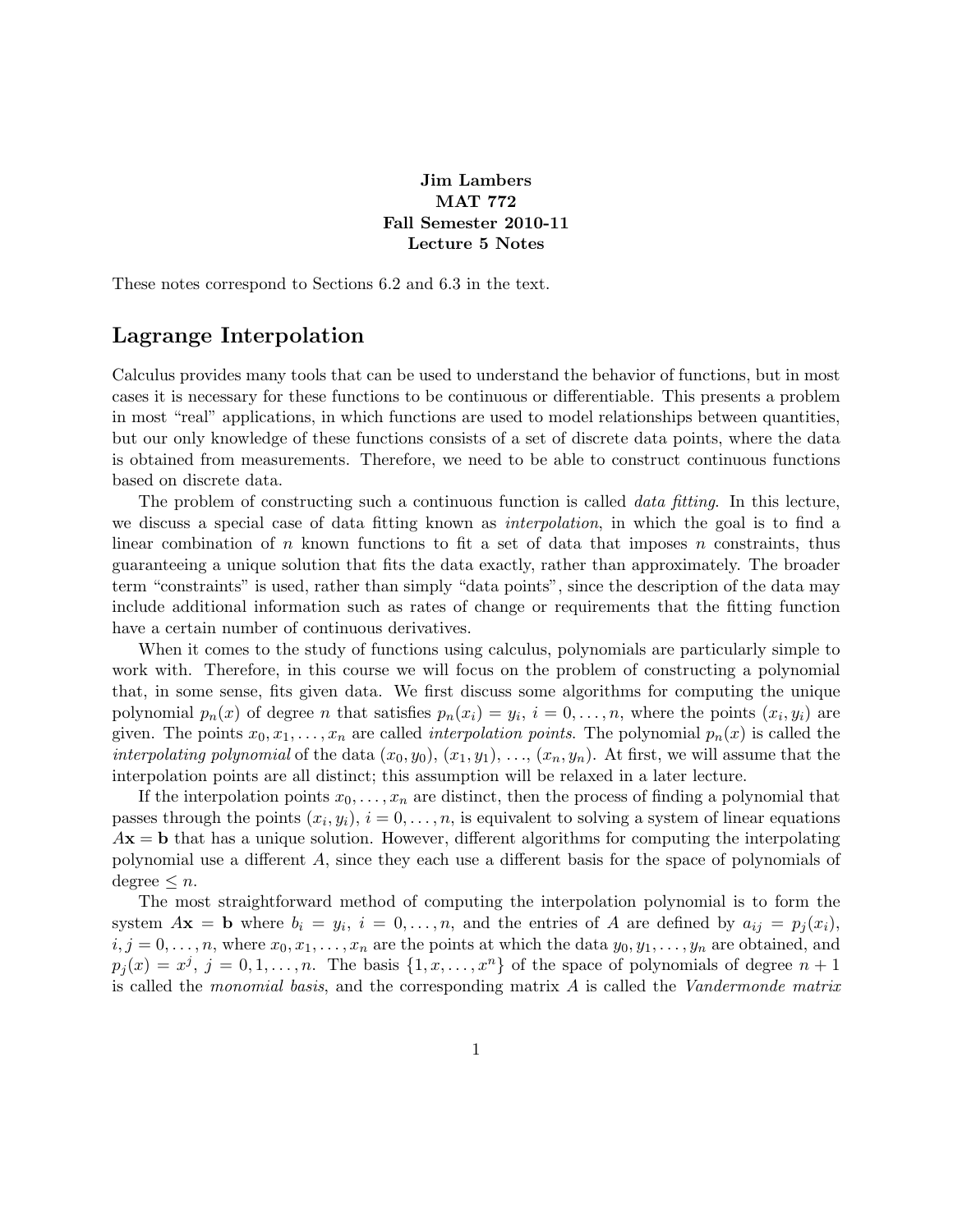## Jim Lambers MAT 772 Fall Semester 2010-11 Lecture 5 Notes

These notes correspond to Sections 6.2 and 6.3 in the text.

## Lagrange Interpolation

Calculus provides many tools that can be used to understand the behavior of functions, but in most cases it is necessary for these functions to be continuous or differentiable. This presents a problem in most "real" applications, in which functions are used to model relationships between quantities, but our only knowledge of these functions consists of a set of discrete data points, where the data is obtained from measurements. Therefore, we need to be able to construct continuous functions based on discrete data.

The problem of constructing such a continuous function is called *data fitting*. In this lecture, we discuss a special case of data fitting known as interpolation, in which the goal is to find a linear combination of  $n$  known functions to fit a set of data that imposes  $n$  constraints, thus guaranteeing a unique solution that fits the data exactly, rather than approximately. The broader term "constraints" is used, rather than simply "data points", since the description of the data may include additional information such as rates of change or requirements that the fitting function have a certain number of continuous derivatives.

When it comes to the study of functions using calculus, polynomials are particularly simple to work with. Therefore, in this course we will focus on the problem of constructing a polynomial that, in some sense, fits given data. We first discuss some algorithms for computing the unique polynomial  $p_n(x)$  of degree n that satisfies  $p_n(x_i) = y_i$ ,  $i = 0, \ldots, n$ , where the points  $(x_i, y_i)$  are given. The points  $x_0, x_1, \ldots, x_n$  are called *interpolation points*. The polynomial  $p_n(x)$  is called the interpolating polynomial of the data  $(x_0, y_0), (x_1, y_1), \ldots, (x_n, y_n)$ . At first, we will assume that the interpolation points are all distinct; this assumption will be relaxed in a later lecture.

If the interpolation points  $x_0, \ldots, x_n$  are distinct, then the process of finding a polynomial that passes through the points  $(x_i, y_i)$ ,  $i = 0, \ldots, n$ , is equivalent to solving a system of linear equations  $A**x** = **b**$  that has a unique solution. However, different algorithms for computing the interpolating polynomial use a different  $A$ , since they each use a different basis for the space of polynomials of degree  $\leq n$ .

The most straightforward method of computing the interpolation polynomial is to form the system  $A\mathbf{x} = \mathbf{b}$  where  $b_i = y_i$ ,  $i = 0, \ldots, n$ , and the entries of A are defined by  $a_{ij} = p_j(x_i)$ ,  $i, j = 0, \ldots, n$ , where  $x_0, x_1, \ldots, x_n$  are the points at which the data  $y_0, y_1, \ldots, y_n$  are obtained, and  $p_j(x) = x^j$ ,  $j = 0, 1, \ldots, n$ . The basis  $\{1, x, \ldots, x^n\}$  of the space of polynomials of degree  $n+1$ is called the *monomial basis*, and the corresponding matrix  $\vec{A}$  is called the *Vandermonde matrix*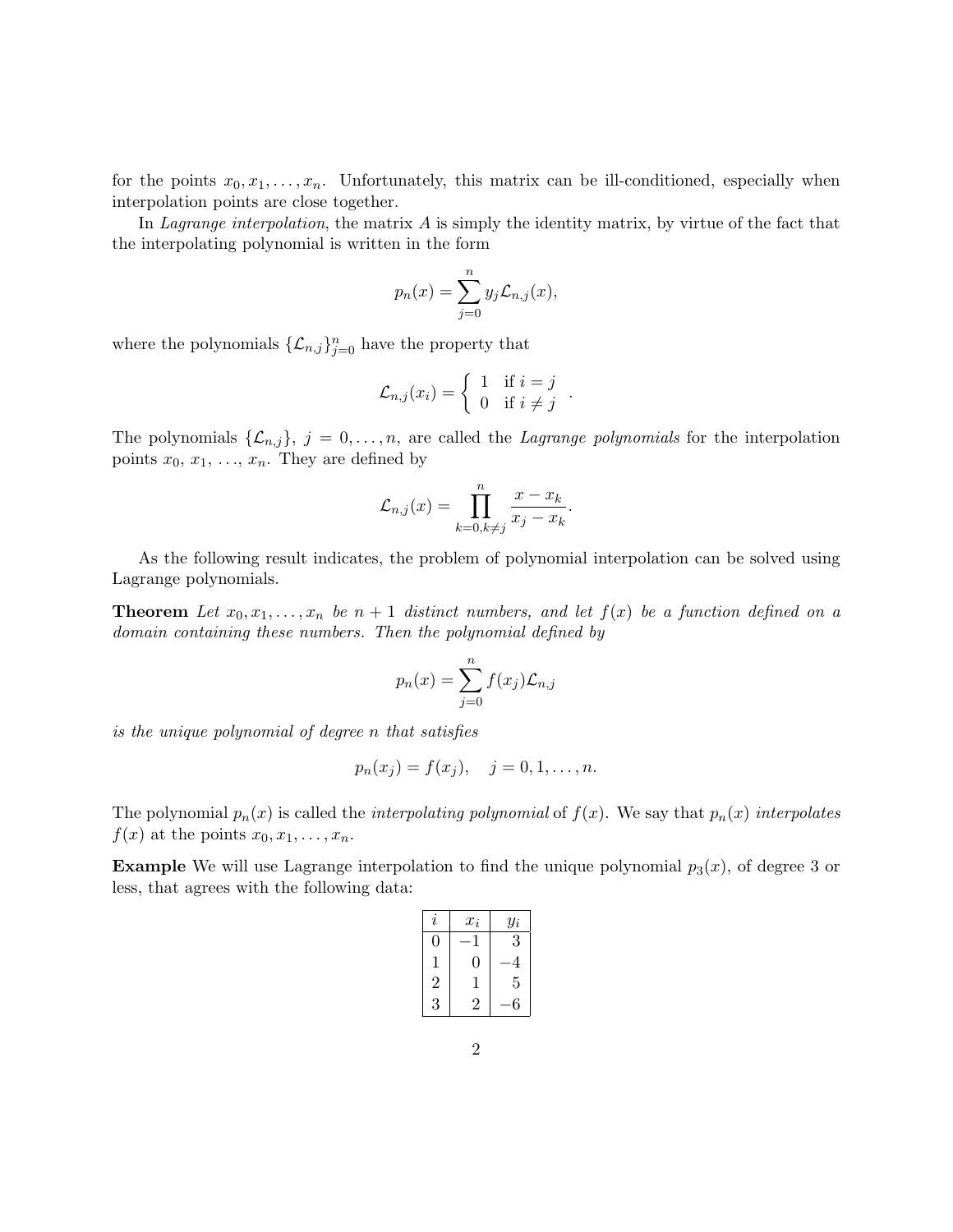for the points  $x_0, x_1, \ldots, x_n$ . Unfortunately, this matrix can be ill-conditioned, especially when interpolation points are close together.

In Lagrange interpolation, the matrix  $A$  is simply the identity matrix, by virtue of the fact that the interpolating polynomial is written in the form

$$
p_n(x) = \sum_{j=0}^n y_j \mathcal{L}_{n,j}(x),
$$

where the polynomials  $\{\mathcal{L}_{n,j}\}_{j=0}^n$  have the property that

$$
\mathcal{L}_{n,j}(x_i) = \begin{cases} 1 & \text{if } i = j \\ 0 & \text{if } i \neq j \end{cases}
$$

.

The polynomials  $\{\mathcal{L}_{n,j}\},\ j=0,\ldots,n$ , are called the Lagrange polynomials for the interpolation points  $x_0, x_1, \ldots, x_n$ . They are defined by

$$
\mathcal{L}_{n,j}(x) = \prod_{k=0, k \neq j}^{n} \frac{x - x_k}{x_j - x_k}.
$$

As the following result indicates, the problem of polynomial interpolation can be solved using Lagrange polynomials.

**Theorem** Let  $x_0, x_1, \ldots, x_n$  be  $n+1$  distinct numbers, and let  $f(x)$  be a function defined on a domain containing these numbers. Then the polynomial defined by

$$
p_n(x) = \sum_{j=0}^n f(x_j) \mathcal{L}_{n,j}
$$

is the unique polynomial of degree  $n$  that satisfies

$$
p_n(x_j) = f(x_j), \quad j = 0, 1, ..., n.
$$

The polynomial  $p_n(x)$  is called the *interpolating polynomial* of  $f(x)$ . We say that  $p_n(x)$  interpolates  $f(x)$  at the points  $x_0, x_1, \ldots, x_n$ .

**Example** We will use Lagrange interpolation to find the unique polynomial  $p_3(x)$ , of degree 3 or less, that agrees with the following data:

| $\boldsymbol{\eta}$     | $x_i$ | $y_i$ |
|-------------------------|-------|-------|
|                         |       | 3     |
| L                       | U     | 4     |
| $\overline{2}$          |       | 5     |
| $\overline{\mathbf{3}}$ | 2     | հ     |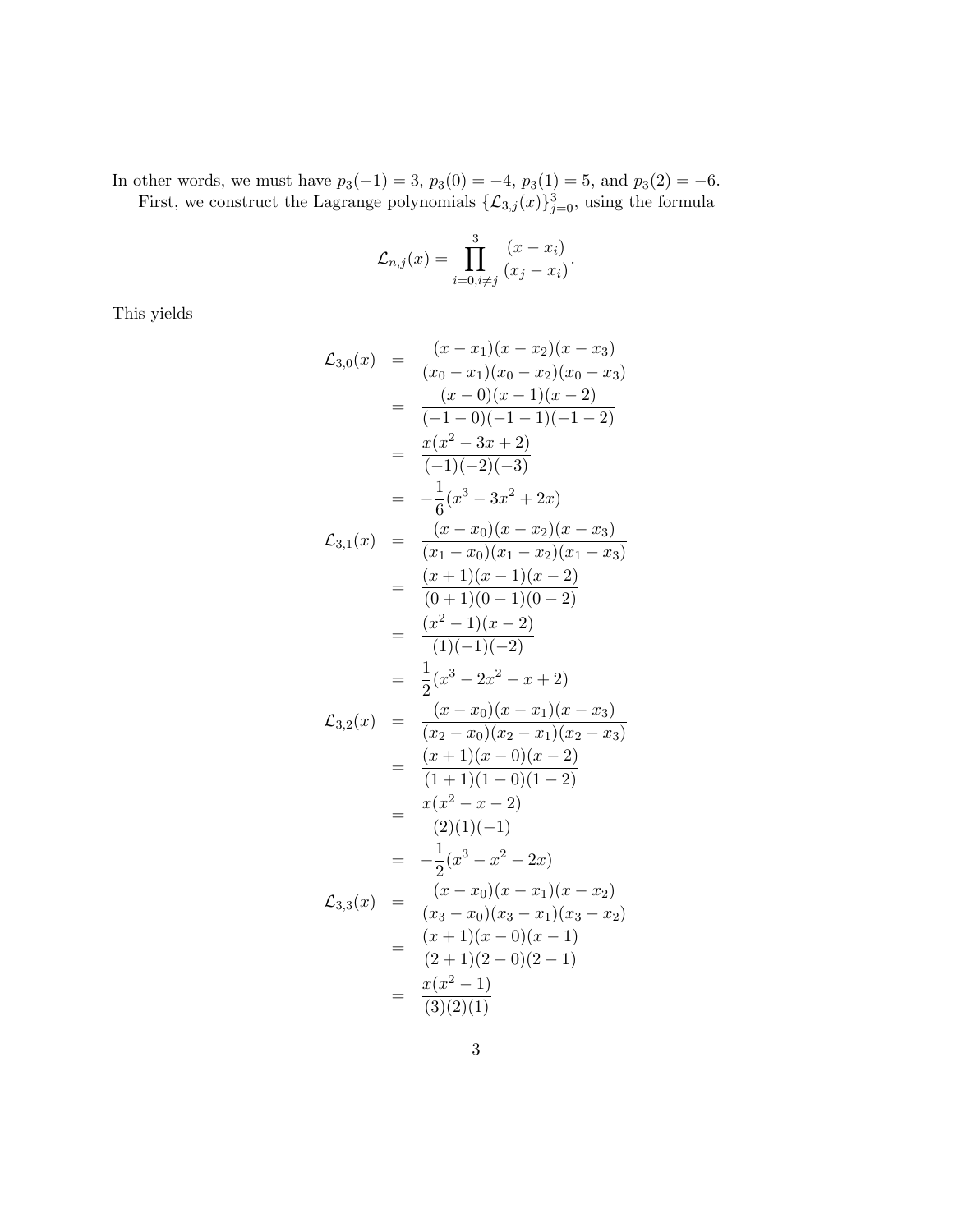In other words, we must have  $p_3(-1) = 3$ ,  $p_3(0) = -4$ ,  $p_3(1) = 5$ , and  $p_3(2) = -6$ . First, we construct the Lagrange polynomials  $\{\mathcal{L}_{3,j}(x)\}_{j=0}^3$ , using the formula

$$
\mathcal{L}_{n,j}(x) = \prod_{i=0, i \neq j}^{3} \frac{(x - x_i)}{(x_j - x_i)}.
$$

This yields

$$
\mathcal{L}_{3,0}(x) = \frac{(x-x_1)(x-x_2)(x-x_3)}{(x_0-x_1)(x_0-x_2)(x_0-x_3)}
$$
\n
$$
= \frac{(x-0)(x-1)(x-2)}{(-1-0)(-1-1)(-1-2)}
$$
\n
$$
= \frac{x(x^2-3x+2)}{(-1)(-2)(-3)}
$$
\n
$$
= -\frac{1}{6}(x^3-3x^2+2x)
$$
\n
$$
\mathcal{L}_{3,1}(x) = \frac{(x-x_0)(x-x_2)(x-x_3)}{(x_1-x_0)(x_1-x_2)(x_1-x_3)}
$$
\n
$$
= \frac{(x+1)(x-1)(x-2)}{(0+1)(0-1)(0-2)}
$$
\n
$$
= \frac{(x^2-1)(x-2)}{(1)(-1)(-2)}
$$
\n
$$
= \frac{1}{2}(x^3-2x^2-x+2)
$$
\n
$$
\mathcal{L}_{3,2}(x) = \frac{(x-x_0)(x-x_1)(x-x_3)}{(x_2-x_0)(x_2-x_1)(x_2-x_3)}
$$
\n
$$
= \frac{(x+1)(x-0)(x-2)}{(1+1)(1-0)(1-2)}
$$
\n
$$
= \frac{x(x^2-x-2)}{(2)(1)(-1)}
$$
\n
$$
= -\frac{1}{2}(x^3-x^2-2x)
$$
\n
$$
\mathcal{L}_{3,3}(x) = \frac{(x-x_0)(x-x_1)(x-x_2)}{(x_3-x_0)(x_3-x_1)(x_3-x_2)}
$$
\n
$$
= \frac{(x+1)(x-0)(x-1)}{(2+1)(2-0)(2-1)}
$$
\n
$$
= \frac{x(x^2-1)}{(3)(2)(1)}
$$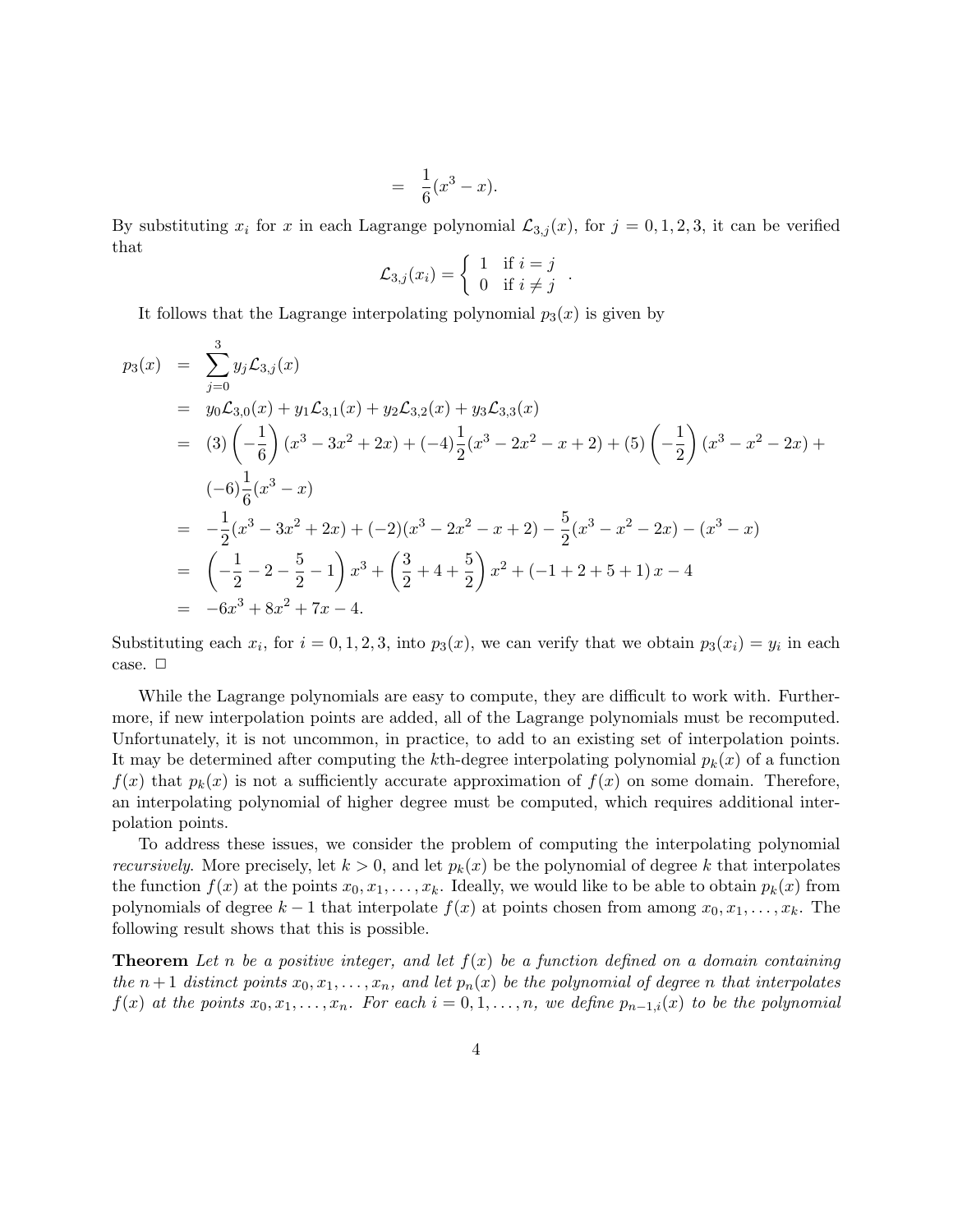$$
= \frac{1}{6}(x^3 - x).
$$

By substituting  $x_i$  for x in each Lagrange polynomial  $\mathcal{L}_{3,j}(x)$ , for  $j = 0, 1, 2, 3$ , it can be verified that

$$
\mathcal{L}_{3,j}(x_i) = \begin{cases} 1 & \text{if } i = j \\ 0 & \text{if } i \neq j \end{cases}
$$

.

It follows that the Lagrange interpolating polynomial  $p_3(x)$  is given by

$$
p_3(x) = \sum_{j=0}^{3} y_j \mathcal{L}_{3,j}(x)
$$
  
=  $y_0 \mathcal{L}_{3,0}(x) + y_1 \mathcal{L}_{3,1}(x) + y_2 \mathcal{L}_{3,2}(x) + y_3 \mathcal{L}_{3,3}(x)$   
=  $(3) \left(-\frac{1}{6}\right) (x^3 - 3x^2 + 2x) + (-4) \frac{1}{2} (x^3 - 2x^2 - x + 2) + (5) \left(-\frac{1}{2}\right) (x^3 - x^2 - 2x) +$   
 $(-6) \frac{1}{6} (x^3 - x)$   
=  $-\frac{1}{2} (x^3 - 3x^2 + 2x) + (-2) (x^3 - 2x^2 - x + 2) - \frac{5}{2} (x^3 - x^2 - 2x) - (x^3 - x)$   
=  $\left(-\frac{1}{2} - 2 - \frac{5}{2} - 1\right) x^3 + \left(\frac{3}{2} + 4 + \frac{5}{2}\right) x^2 + (-1 + 2 + 5 + 1) x - 4$   
=  $-6x^3 + 8x^2 + 7x - 4$ .

Substituting each  $x_i$ , for  $i = 0, 1, 2, 3$ , into  $p_3(x)$ , we can verify that we obtain  $p_3(x_i) = y_i$  in each case. □

While the Lagrange polynomials are easy to compute, they are difficult to work with. Furthermore, if new interpolation points are added, all of the Lagrange polynomials must be recomputed. Unfortunately, it is not uncommon, in practice, to add to an existing set of interpolation points. It may be determined after computing the k<sup>th</sup>-degree interpolating polynomial  $p_k(x)$  of a function  $f(x)$  that  $p_k(x)$  is not a sufficiently accurate approximation of  $f(x)$  on some domain. Therefore, an interpolating polynomial of higher degree must be computed, which requires additional interpolation points.

To address these issues, we consider the problem of computing the interpolating polynomial recursively. More precisely, let  $k > 0$ , and let  $p_k(x)$  be the polynomial of degree k that interpolates the function  $f(x)$  at the points  $x_0, x_1, \ldots, x_k$ . Ideally, we would like to be able to obtain  $p_k(x)$  from polynomials of degree  $k-1$  that interpolate  $f(x)$  at points chosen from among  $x_0, x_1, \ldots, x_k$ . The following result shows that this is possible.

**Theorem** Let n be a positive integer, and let  $f(x)$  be a function defined on a domain containing the  $n+1$  distinct points  $x_0, x_1, \ldots, x_n$ , and let  $p_n(x)$  be the polynomial of degree n that interpolates  $f(x)$  at the points  $x_0, x_1, \ldots, x_n$ . For each  $i = 0, 1, \ldots, n$ , we define  $p_{n-1,i}(x)$  to be the polynomial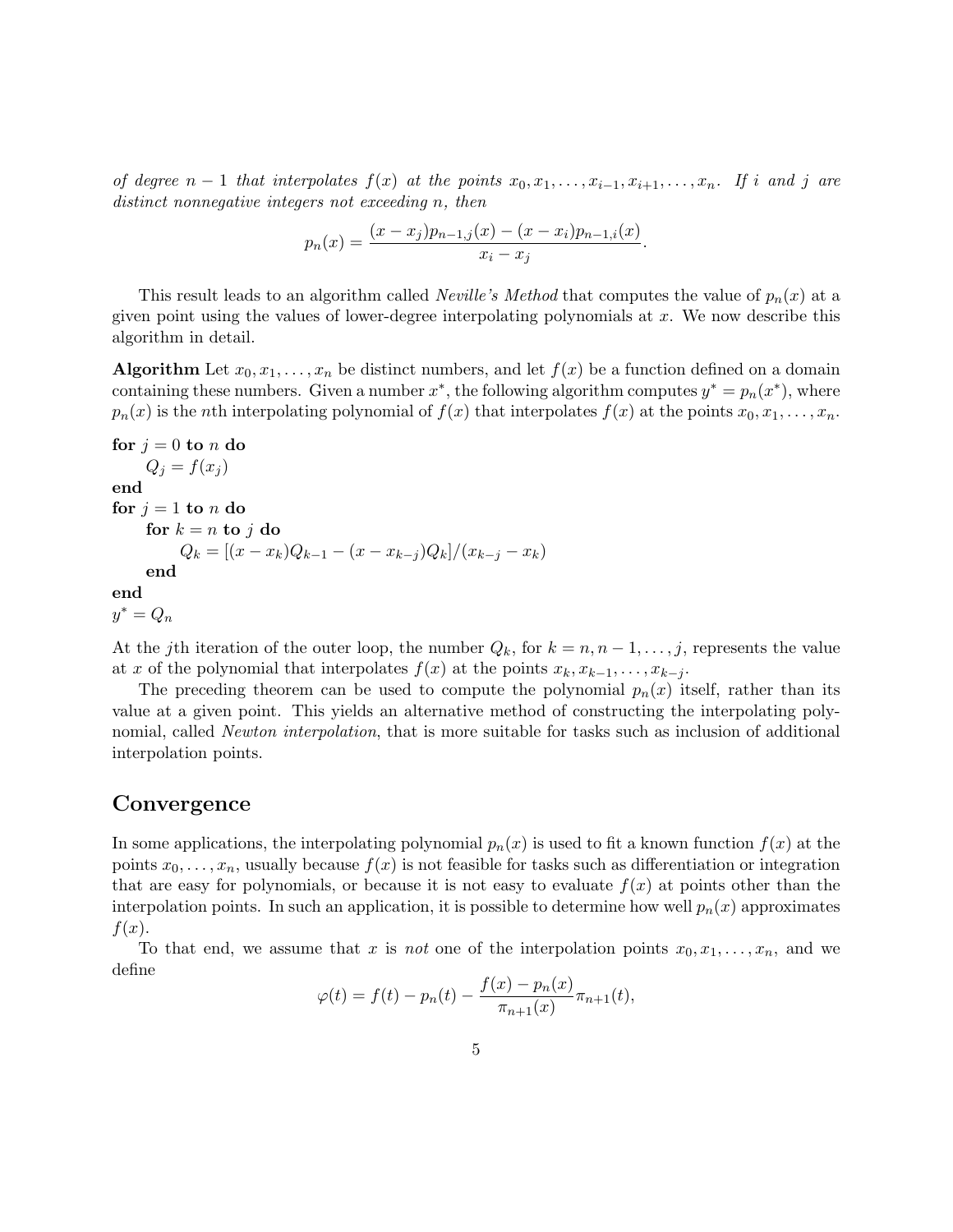of degree  $n-1$  that interpolates  $f(x)$  at the points  $x_0, x_1, \ldots, x_{i-1}, x_{i+1}, \ldots, x_n$ . If i and j are distinct nonnegative integers not exceeding  $n$ , then

$$
p_n(x) = \frac{(x-x_j)p_{n-1,j}(x) - (x-x_i)p_{n-1,i}(x)}{x_i - x_j}.
$$

This result leads to an algorithm called *Neville's Method* that computes the value of  $p_n(x)$  at a given point using the values of lower-degree interpolating polynomials at  $x$ . We now describe this algorithm in detail.

Algorithm Let  $x_0, x_1, \ldots, x_n$  be distinct numbers, and let  $f(x)$  be a function defined on a domain containing these numbers. Given a number  $x^*$ , the following algorithm computes  $y^* = p_n(x^*)$ , where  $p_n(x)$  is the *n*th interpolating polynomial of  $f(x)$  that interpolates  $f(x)$  at the points  $x_0, x_1, \ldots, x_n$ .

```
for j = 0 to n do
    Q_j = f(x_j)end
for j = 1 to n do
    for k = n to j do
         Q_k = [(x - x_k)Q_{k-1} - (x - x_{k-i})Q_k]/(x_{k-i} - x_k)end
end
y^* = Q_n
```
At the *j*th iteration of the outer loop, the number  $Q_k$ , for  $k = n, n - 1, \ldots, j$ , represents the value at x of the polynomial that interpolates  $f(x)$  at the points  $x_k, x_{k-1}, \ldots, x_{k-j}$ .

The preceding theorem can be used to compute the polynomial  $p_n(x)$  itself, rather than its value at a given point. This yields an alternative method of constructing the interpolating polynomial, called *Newton interpolation*, that is more suitable for tasks such as inclusion of additional interpolation points.

## **Convergence**

In some applications, the interpolating polynomial  $p_n(x)$  is used to fit a known function  $f(x)$  at the points  $x_0, \ldots, x_n$ , usually because  $f(x)$  is not feasible for tasks such as differentiation or integration that are easy for polynomials, or because it is not easy to evaluate  $f(x)$  at points other than the interpolation points. In such an application, it is possible to determine how well  $p_n(x)$  approximates  $f(x)$ .

To that end, we assume that x is not one of the interpolation points  $x_0, x_1, \ldots, x_n$ , and we define

$$
\varphi(t) = f(t) - p_n(t) - \frac{f(x) - p_n(x)}{\pi_{n+1}(x)} \pi_{n+1}(t),
$$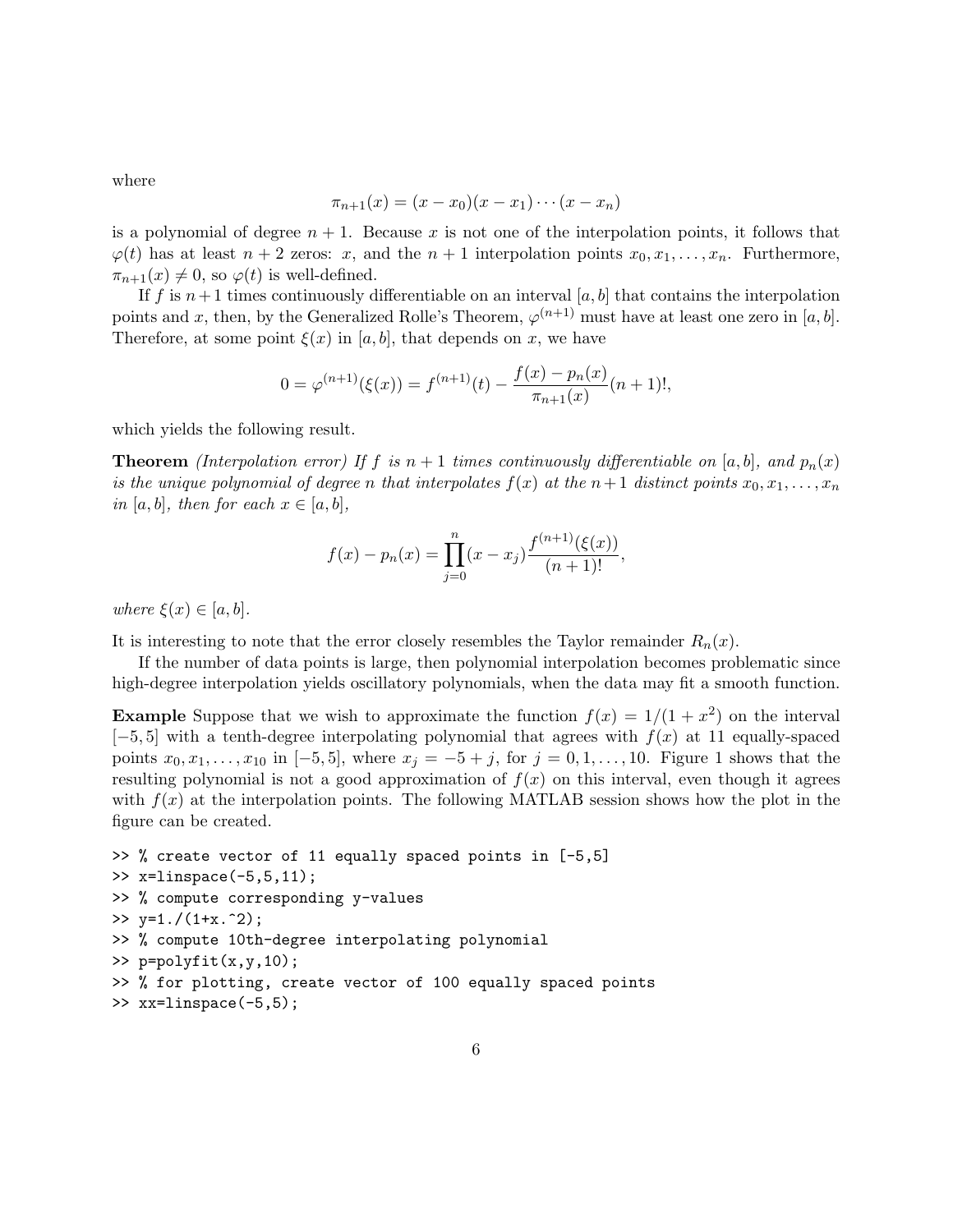where

$$
\pi_{n+1}(x) = (x - x_0)(x - x_1) \cdots (x - x_n)
$$

is a polynomial of degree  $n + 1$ . Because x is not one of the interpolation points, it follows that  $\varphi(t)$  has at least  $n+2$  zeros: x, and the  $n+1$  interpolation points  $x_0, x_1, \ldots, x_n$ . Furthermore,  $\pi_{n+1}(x) \neq 0$ , so  $\varphi(t)$  is well-defined.

If f is  $n+1$  times continuously differentiable on an interval [a, b] that contains the interpolation points and x, then, by the Generalized Rolle's Theorem,  $\varphi^{(n+1)}$  must have at least one zero in [a, b]. Therefore, at some point  $\xi(x)$  in [a, b], that depends on x, we have

$$
0 = \varphi^{(n+1)}(\xi(x)) = f^{(n+1)}(t) - \frac{f(x) - p_n(x)}{\pi_{n+1}(x)}(n+1)!,
$$

which yields the following result.

**Theorem** (Interpolation error) If f is  $n + 1$  times continuously differentiable on [a, b], and  $p_n(x)$ is the unique polynomial of degree n that interpolates  $f(x)$  at the  $n+1$  distinct points  $x_0, x_1, \ldots, x_n$ in [a, b], then for each  $x \in [a, b]$ ,

$$
f(x) - p_n(x) = \prod_{j=0}^n (x - x_j) \frac{f^{(n+1)}(\xi(x))}{(n+1)!},
$$

where  $\xi(x) \in [a, b]$ .

It is interesting to note that the error closely resembles the Taylor remainder  $R_n(x)$ .

If the number of data points is large, then polynomial interpolation becomes problematic since high-degree interpolation yields oscillatory polynomials, when the data may fit a smooth function.

**Example** Suppose that we wish to approximate the function  $f(x) = 1/(1 + x^2)$  on the interval  $[-5, 5]$  with a tenth-degree interpolating polynomial that agrees with  $f(x)$  at 11 equally-spaced points  $x_0, x_1, \ldots, x_{10}$  in  $[-5, 5]$ , where  $x_j = -5 + j$ , for  $j = 0, 1, \ldots, 10$ . Figure 1 shows that the resulting polynomial is not a good approximation of  $f(x)$  on this interval, even though it agrees with  $f(x)$  at the interpolation points. The following MATLAB session shows how the plot in the figure can be created.

```
>> % create vector of 11 equally spaced points in [-5,5]
>> x=linspace(-5,5,11);
>> % compute corresponding y-values
\Rightarrow y=1./(1+x.^2);
>> % compute 10th-degree interpolating polynomial
\gg p=polyfit(x,y,10);
>> % for plotting, create vector of 100 equally spaced points
>> xx=linspace(-5,5);
```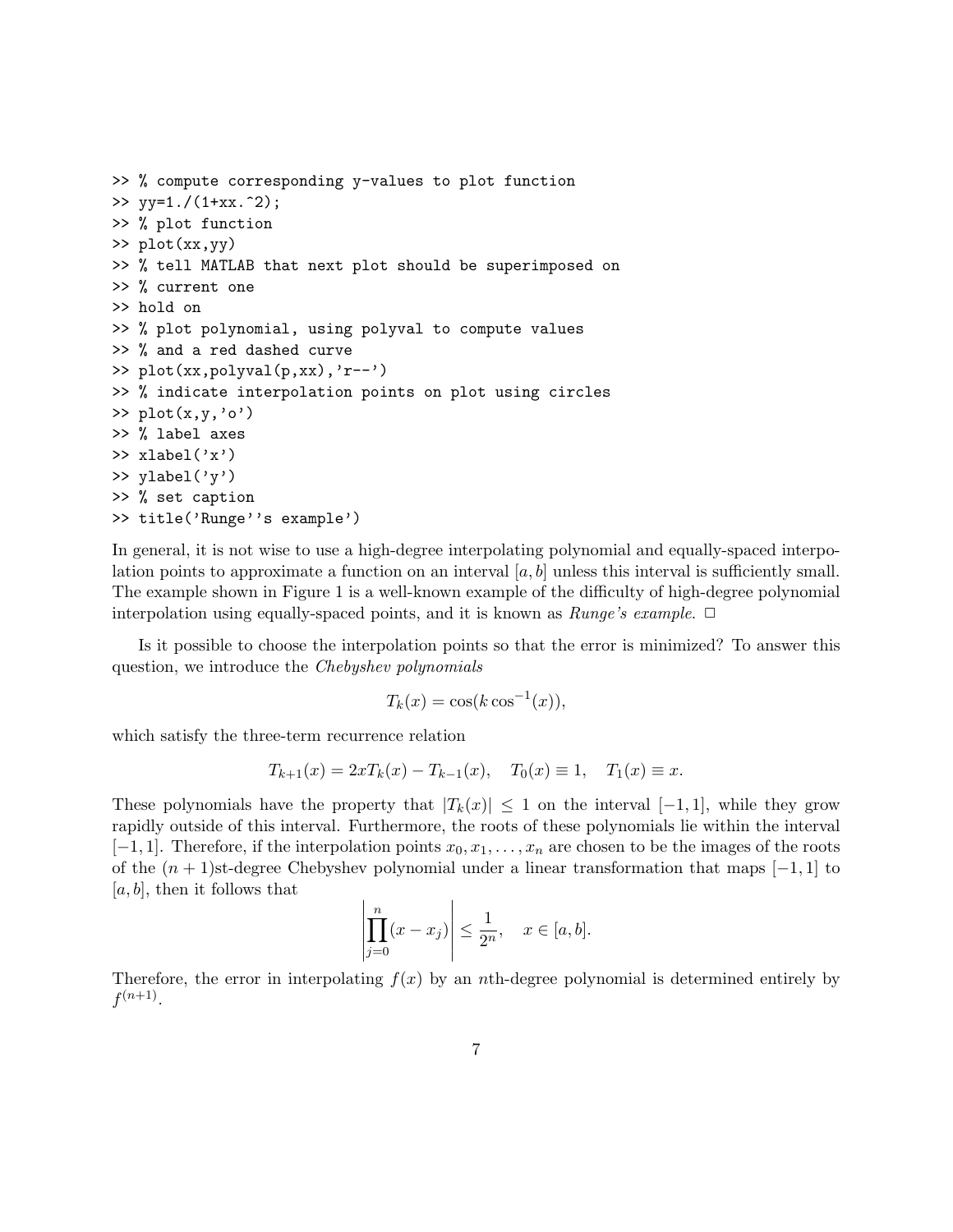```
>> % compute corresponding y-values to plot function
>> yy=1./(1+xx.ˆ2);
>> % plot function
>> plot(xx,yy)
>> % tell MATLAB that next plot should be superimposed on
>> % current one
>> hold on
>> % plot polynomial, using polyval to compute values
>> % and a red dashed curve
>> plot(xx, polynomial(p,xx), 'r--')>> % indicate interpolation points on plot using circles
\gg plot(x,y,'o')>> % label axes
\gg xlabel('x')
>> ylabel('y')
>> % set caption
>> title('Runge''s example')
```
In general, it is not wise to use a high-degree interpolating polynomial and equally-spaced interpolation points to approximate a function on an interval  $[a, b]$  unless this interval is sufficiently small. The example shown in Figure 1 is a well-known example of the difficulty of high-degree polynomial interpolation using equally-spaced points, and it is known as  $Runqe's example$ .  $\Box$ 

Is it possible to choose the interpolation points so that the error is minimized? To answer this question, we introduce the Chebyshev polynomials

$$
T_k(x) = \cos(k \cos^{-1}(x)),
$$

which satisfy the three-term recurrence relation

$$
T_{k+1}(x) = 2xT_k(x) - T_{k-1}(x), \quad T_0(x) \equiv 1, \quad T_1(x) \equiv x.
$$

These polynomials have the property that  $|T_k(x)| \leq 1$  on the interval [−1, 1], while they grow rapidly outside of this interval. Furthermore, the roots of these polynomials lie within the interval  $[-1, 1]$ . Therefore, if the interpolation points  $x_0, x_1, \ldots, x_n$  are chosen to be the images of the roots of the  $(n + 1)$ st-degree Chebyshev polynomial under a linear transformation that maps [−1, 1] to  $[a, b]$ , then it follows that

$$
\left|\prod_{j=0}^{n}(x-x_j)\right| \leq \frac{1}{2^n}, \quad x \in [a,b].
$$

Therefore, the error in interpolating  $f(x)$  by an *n*th-degree polynomial is determined entirely by  $f^{(n+1)}$ .